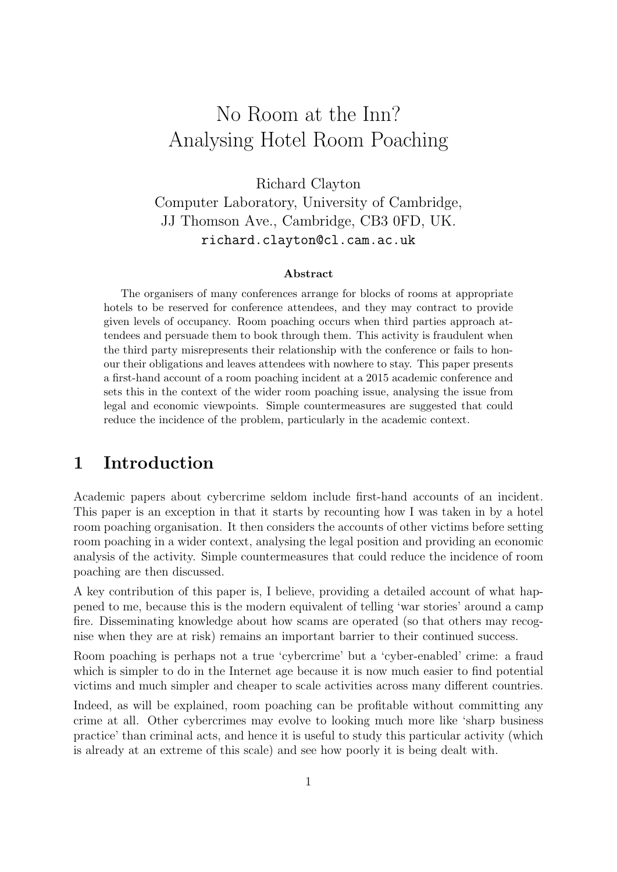# No Room at the Inn? Analysing Hotel Room Poaching

Richard Clayton Computer Laboratory, University of Cambridge, JJ Thomson Ave., Cambridge, CB3 0FD, UK. richard.clayton@cl.cam.ac.uk

#### Abstract

The organisers of many conferences arrange for blocks of rooms at appropriate hotels to be reserved for conference attendees, and they may contract to provide given levels of occupancy. Room poaching occurs when third parties approach attendees and persuade them to book through them. This activity is fraudulent when the third party misrepresents their relationship with the conference or fails to honour their obligations and leaves attendees with nowhere to stay. This paper presents a first-hand account of a room poaching incident at a 2015 academic conference and sets this in the context of the wider room poaching issue, analysing the issue from legal and economic viewpoints. Simple countermeasures are suggested that could reduce the incidence of the problem, particularly in the academic context.

### 1 Introduction

Academic papers about cybercrime seldom include first-hand accounts of an incident. This paper is an exception in that it starts by recounting how I was taken in by a hotel room poaching organisation. It then considers the accounts of other victims before setting room poaching in a wider context, analysing the legal position and providing an economic analysis of the activity. Simple countermeasures that could reduce the incidence of room poaching are then discussed.

A key contribution of this paper is, I believe, providing a detailed account of what happened to me, because this is the modern equivalent of telling 'war stories' around a camp fire. Disseminating knowledge about how scams are operated (so that others may recognise when they are at risk) remains an important barrier to their continued success.

Room poaching is perhaps not a true 'cybercrime' but a 'cyber-enabled' crime: a fraud which is simpler to do in the Internet age because it is now much easier to find potential victims and much simpler and cheaper to scale activities across many different countries.

Indeed, as will be explained, room poaching can be profitable without committing any crime at all. Other cybercrimes may evolve to looking much more like 'sharp business practice' than criminal acts, and hence it is useful to study this particular activity (which is already at an extreme of this scale) and see how poorly it is being dealt with.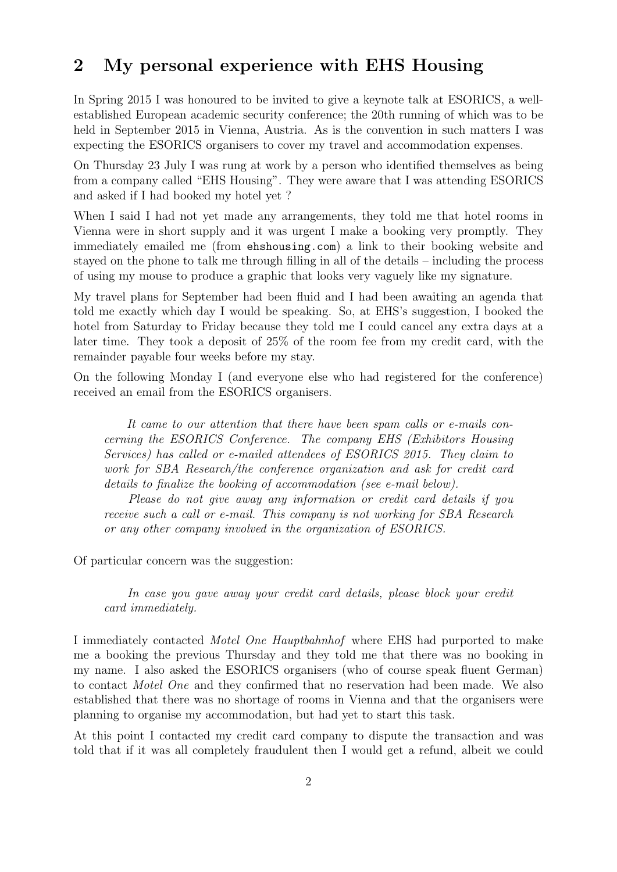### 2 My personal experience with EHS Housing

In Spring 2015 I was honoured to be invited to give a keynote talk at ESORICS, a wellestablished European academic security conference; the 20th running of which was to be held in September 2015 in Vienna, Austria. As is the convention in such matters I was expecting the ESORICS organisers to cover my travel and accommodation expenses.

On Thursday 23 July I was rung at work by a person who identified themselves as being from a company called "EHS Housing". They were aware that I was attending ESORICS and asked if I had booked my hotel yet ?

When I said I had not yet made any arrangements, they told me that hotel rooms in Vienna were in short supply and it was urgent I make a booking very promptly. They immediately emailed me (from <ehshousing.com>) a link to their booking website and stayed on the phone to talk me through filling in all of the details – including the process of using my mouse to produce a graphic that looks very vaguely like my signature.

My travel plans for September had been fluid and I had been awaiting an agenda that told me exactly which day I would be speaking. So, at EHS's suggestion, I booked the hotel from Saturday to Friday because they told me I could cancel any extra days at a later time. They took a deposit of 25% of the room fee from my credit card, with the remainder payable four weeks before my stay.

On the following Monday I (and everyone else who had registered for the conference) received an email from the ESORICS organisers.

It came to our attention that there have been spam calls or e-mails concerning the ESORICS Conference. The company EHS (Exhibitors Housing Services) has called or e-mailed attendees of ESORICS 2015. They claim to work for SBA Research/the conference organization and ask for credit card details to finalize the booking of accommodation (see e-mail below).

Please do not give away any information or credit card details if you receive such a call or e-mail. This company is not working for SBA Research or any other company involved in the organization of ESORICS.

Of particular concern was the suggestion:

In case you gave away your credit card details, please block your credit card immediately.

I immediately contacted Motel One Hauptbahnhof where EHS had purported to make me a booking the previous Thursday and they told me that there was no booking in my name. I also asked the ESORICS organisers (who of course speak fluent German) to contact Motel One and they confirmed that no reservation had been made. We also established that there was no shortage of rooms in Vienna and that the organisers were planning to organise my accommodation, but had yet to start this task.

At this point I contacted my credit card company to dispute the transaction and was told that if it was all completely fraudulent then I would get a refund, albeit we could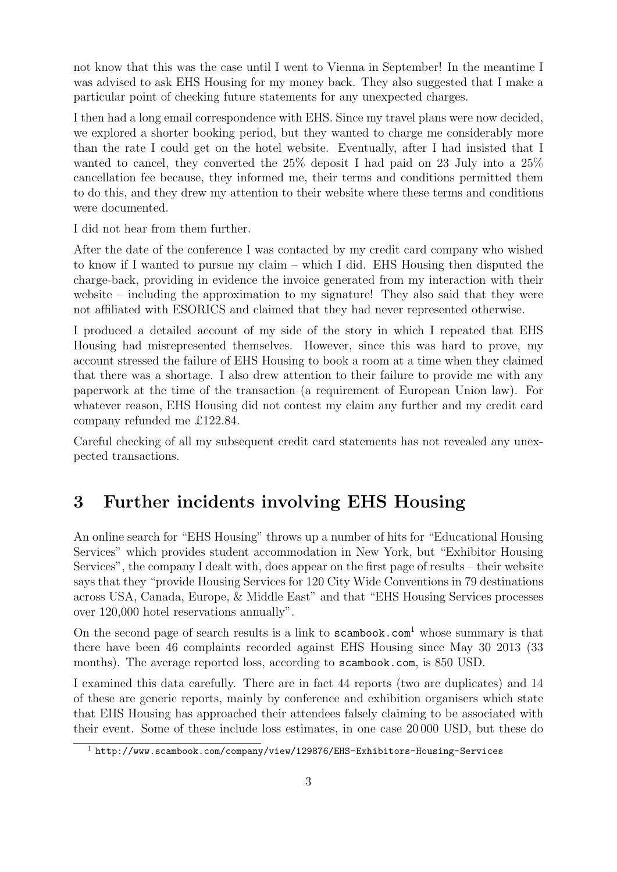not know that this was the case until I went to Vienna in September! In the meantime I was advised to ask EHS Housing for my money back. They also suggested that I make a particular point of checking future statements for any unexpected charges.

I then had a long email correspondence with EHS. Since my travel plans were now decided, we explored a shorter booking period, but they wanted to charge me considerably more than the rate I could get on the hotel website. Eventually, after I had insisted that I wanted to cancel, they converted the 25% deposit I had paid on 23 July into a 25% cancellation fee because, they informed me, their terms and conditions permitted them to do this, and they drew my attention to their website where these terms and conditions were documented.

I did not hear from them further.

After the date of the conference I was contacted by my credit card company who wished to know if I wanted to pursue my claim – which I did. EHS Housing then disputed the charge-back, providing in evidence the invoice generated from my interaction with their website – including the approximation to my signature! They also said that they were not affiliated with ESORICS and claimed that they had never represented otherwise.

I produced a detailed account of my side of the story in which I repeated that EHS Housing had misrepresented themselves. However, since this was hard to prove, my account stressed the failure of EHS Housing to book a room at a time when they claimed that there was a shortage. I also drew attention to their failure to provide me with any paperwork at the time of the transaction (a requirement of European Union law). For whatever reason, EHS Housing did not contest my claim any further and my credit card company refunded me £122.84.

Careful checking of all my subsequent credit card statements has not revealed any unexpected transactions.

### 3 Further incidents involving EHS Housing

An online search for "EHS Housing" throws up a number of hits for "Educational Housing Services" which provides student accommodation in New York, but "Exhibitor Housing Services", the company I dealt with, does appear on the first page of results – their website says that they "provide Housing Services for 120 City Wide Conventions in 79 destinations across USA, Canada, Europe, & Middle East" and that "EHS Housing Services processes over 120,000 hotel reservations annually".

On the second page of search results is a link to  $s$ cambook.com<sup>[1](#page-2-0)</sup> whose summary is that there have been 46 complaints recorded against EHS Housing since May 30 2013 (33 months). The average reported loss, according to <scambook.com>, is 850 USD.

I examined this data carefully. There are in fact 44 reports (two are duplicates) and 14 of these are generic reports, mainly by conference and exhibition organisers which state that EHS Housing has approached their attendees falsely claiming to be associated with their event. Some of these include loss estimates, in one case 20 000 USD, but these do

<span id="page-2-0"></span><sup>1</sup> <http://www.scambook.com/company/view/129876/EHS-Exhibitors-Housing-Services>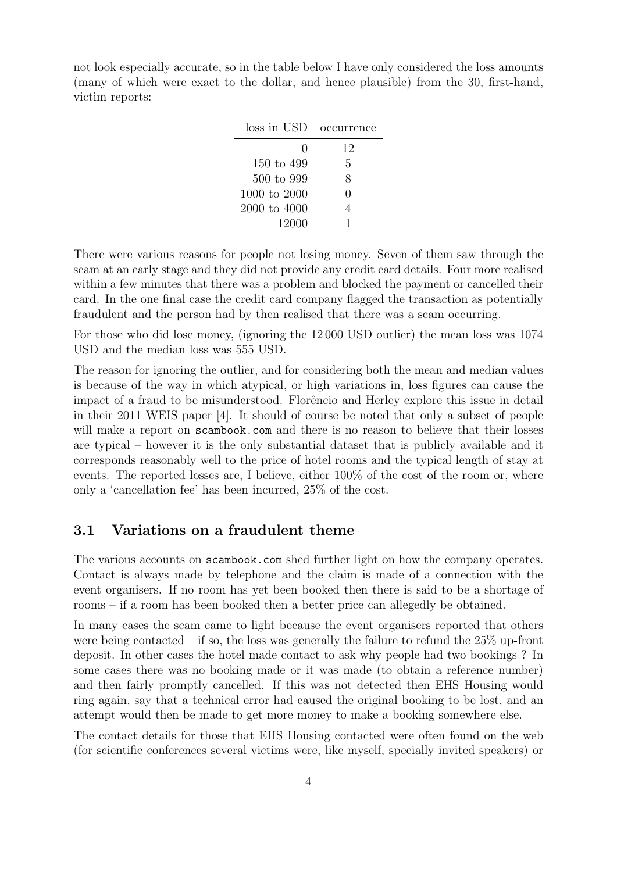not look especially accurate, so in the table below I have only considered the loss amounts (many of which were exact to the dollar, and hence plausible) from the 30, first-hand, victim reports:

| loss in USD           | occurrence |
|-----------------------|------------|
| 0                     | 12         |
| 150 to 499            | 5          |
| $500 \text{ to } 999$ | 8          |
| 1000 to 2000          | ∩          |
| 2000 to 4000          | 4          |
| 12000                 |            |

There were various reasons for people not losing money. Seven of them saw through the scam at an early stage and they did not provide any credit card details. Four more realised within a few minutes that there was a problem and blocked the payment or cancelled their card. In the one final case the credit card company flagged the transaction as potentially fraudulent and the person had by then realised that there was a scam occurring.

For those who did lose money, (ignoring the 12 000 USD outlier) the mean loss was 1074 USD and the median loss was 555 USD.

The reason for ignoring the outlier, and for considering both the mean and median values is because of the way in which atypical, or high variations in, loss figures can cause the impact of a fraud to be misunderstood. Florêncio and Herley explore this issue in detail in their 2011 WEIS paper [\[4\]](#page-10-0). It should of course be noted that only a subset of people will make a report on <scambook.com> and there is no reason to believe that their losses are typical – however it is the only substantial dataset that is publicly available and it corresponds reasonably well to the price of hotel rooms and the typical length of stay at events. The reported losses are, I believe, either 100% of the cost of the room or, where only a 'cancellation fee' has been incurred, 25% of the cost.

### 3.1 Variations on a fraudulent theme

The various accounts on scambook.com shed further light on how the company operates. Contact is always made by telephone and the claim is made of a connection with the event organisers. If no room has yet been booked then there is said to be a shortage of rooms – if a room has been booked then a better price can allegedly be obtained.

In many cases the scam came to light because the event organisers reported that others were being contacted – if so, the loss was generally the failure to refund the  $25\%$  up-front deposit. In other cases the hotel made contact to ask why people had two bookings ? In some cases there was no booking made or it was made (to obtain a reference number) and then fairly promptly cancelled. If this was not detected then EHS Housing would ring again, say that a technical error had caused the original booking to be lost, and an attempt would then be made to get more money to make a booking somewhere else.

The contact details for those that EHS Housing contacted were often found on the web (for scientific conferences several victims were, like myself, specially invited speakers) or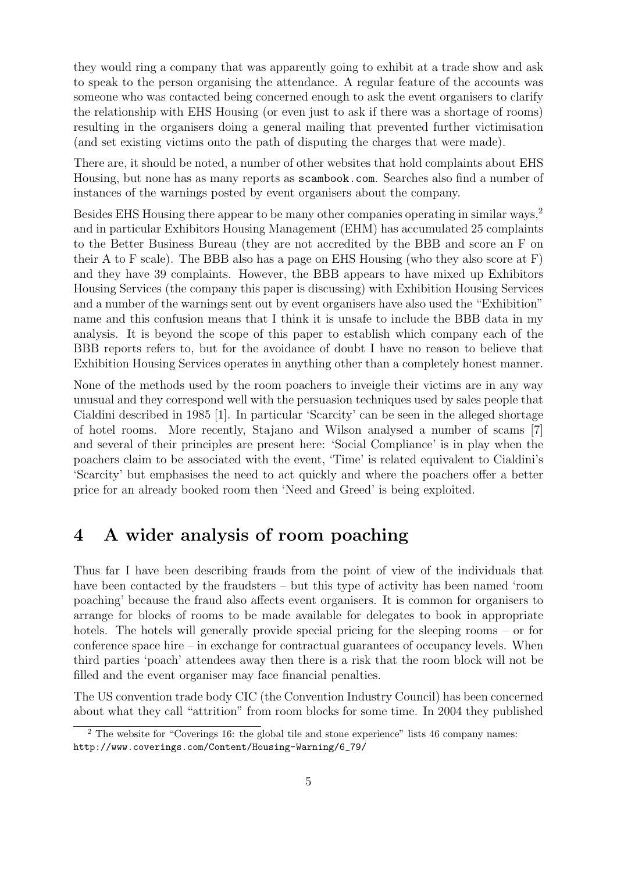they would ring a company that was apparently going to exhibit at a trade show and ask to speak to the person organising the attendance. A regular feature of the accounts was someone who was contacted being concerned enough to ask the event organisers to clarify the relationship with EHS Housing (or even just to ask if there was a shortage of rooms) resulting in the organisers doing a general mailing that prevented further victimisation (and set existing victims onto the path of disputing the charges that were made).

There are, it should be noted, a number of other websites that hold complaints about EHS Housing, but none has as many reports as <scambook.com>. Searches also find a number of instances of the warnings posted by event organisers about the company.

Besides EHS Housing there appear to be many other companies operating in similar ways,[2](#page-4-0) and in particular Exhibitors Housing Management (EHM) has accumulated 25 complaints to the Better Business Bureau (they are not accredited by the BBB and score an F on their A to F scale). The BBB also has a page on EHS Housing (who they also score at F) and they have 39 complaints. However, the BBB appears to have mixed up Exhibitors Housing Services (the company this paper is discussing) with Exhibition Housing Services and a number of the warnings sent out by event organisers have also used the "Exhibition" name and this confusion means that I think it is unsafe to include the BBB data in my analysis. It is beyond the scope of this paper to establish which company each of the BBB reports refers to, but for the avoidance of doubt I have no reason to believe that Exhibition Housing Services operates in anything other than a completely honest manner.

None of the methods used by the room poachers to inveigle their victims are in any way unusual and they correspond well with the persuasion techniques used by sales people that Cialdini described in 1985 [\[1\]](#page-9-0). In particular 'Scarcity' can be seen in the alleged shortage of hotel rooms. More recently, Stajano and Wilson analysed a number of scams [\[7\]](#page-10-1) and several of their principles are present here: 'Social Compliance' is in play when the poachers claim to be associated with the event, 'Time' is related equivalent to Cialdini's 'Scarcity' but emphasises the need to act quickly and where the poachers offer a better price for an already booked room then 'Need and Greed' is being exploited.

## 4 A wider analysis of room poaching

Thus far I have been describing frauds from the point of view of the individuals that have been contacted by the fraudsters – but this type of activity has been named 'room poaching' because the fraud also affects event organisers. It is common for organisers to arrange for blocks of rooms to be made available for delegates to book in appropriate hotels. The hotels will generally provide special pricing for the sleeping rooms – or for conference space hire – in exchange for contractual guarantees of occupancy levels. When third parties 'poach' attendees away then there is a risk that the room block will not be filled and the event organiser may face financial penalties.

The US convention trade body CIC (the Convention Industry Council) has been concerned about what they call "attrition" from room blocks for some time. In 2004 they published

<span id="page-4-0"></span><sup>&</sup>lt;sup>2</sup> The website for "Coverings 16: the global tile and stone experience" lists 46 company names: [http://www.coverings.com/Content/Housing-Warning/6\\_79/](http://www.coverings.com/Content/Housing-Warning/6_79/)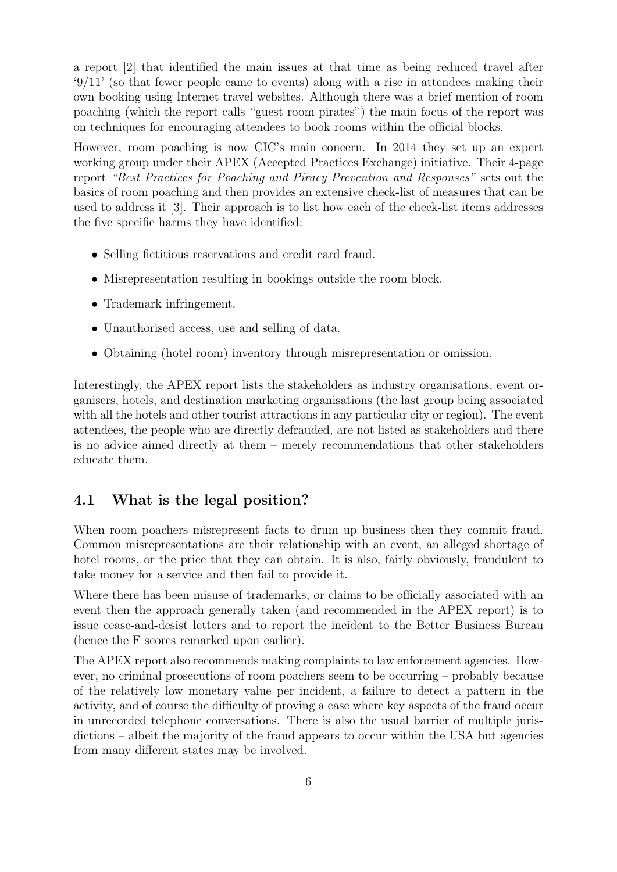a report [\[2\]](#page-9-1) that identified the main issues at that time as being reduced travel after  $\frac{9}{11}$  (so that fewer people came to events) along with a rise in attendees making their own booking using Internet travel websites. Although there was a brief mention of room poaching (which the report calls "guest room pirates") the main focus of the report was on techniques for encouraging attendees to book rooms within the official blocks.

However, room poaching is now CIC's main concern. In 2014 they set up an expert working group under their APEX (Accepted Practices Exchange) initiative. Their 4-page report "Best Practices for Poaching and Piracy Prevention and Responses" sets out the basics of room poaching and then provides an extensive check-list of measures that can be used to address it [\[3\]](#page-10-2). Their approach is to list how each of the check-list items addresses the five specific harms they have identified:

- Selling fictitious reservations and credit card fraud.
- Misrepresentation resulting in bookings outside the room block.
- Trademark infringement.
- Unauthorised access, use and selling of data.
- Obtaining (hotel room) inventory through misrepresentation or omission.

Interestingly, the APEX report lists the stakeholders as industry organisations, event organisers, hotels, and destination marketing organisations (the last group being associated with all the hotels and other tourist attractions in any particular city or region). The event attendees, the people who are directly defrauded, are not listed as stakeholders and there is no advice aimed directly at them – merely recommendations that other stakeholders educate them.

### 4.1 What is the legal position?

When room poachers misrepresent facts to drum up business then they commit fraud. Common misrepresentations are their relationship with an event, an alleged shortage of hotel rooms, or the price that they can obtain. It is also, fairly obviously, fraudulent to take money for a service and then fail to provide it.

Where there has been misuse of trademarks, or claims to be officially associated with an event then the approach generally taken (and recommended in the APEX report) is to issue cease-and-desist letters and to report the incident to the Better Business Bureau (hence the F scores remarked upon earlier).

The APEX report also recommends making complaints to law enforcement agencies. However, no criminal prosecutions of room poachers seem to be occurring – probably because of the relatively low monetary value per incident, a failure to detect a pattern in the activity, and of course the difficulty of proving a case where key aspects of the fraud occur in unrecorded telephone conversations. There is also the usual barrier of multiple jurisdictions – albeit the majority of the fraud appears to occur within the USA but agencies from many different states may be involved.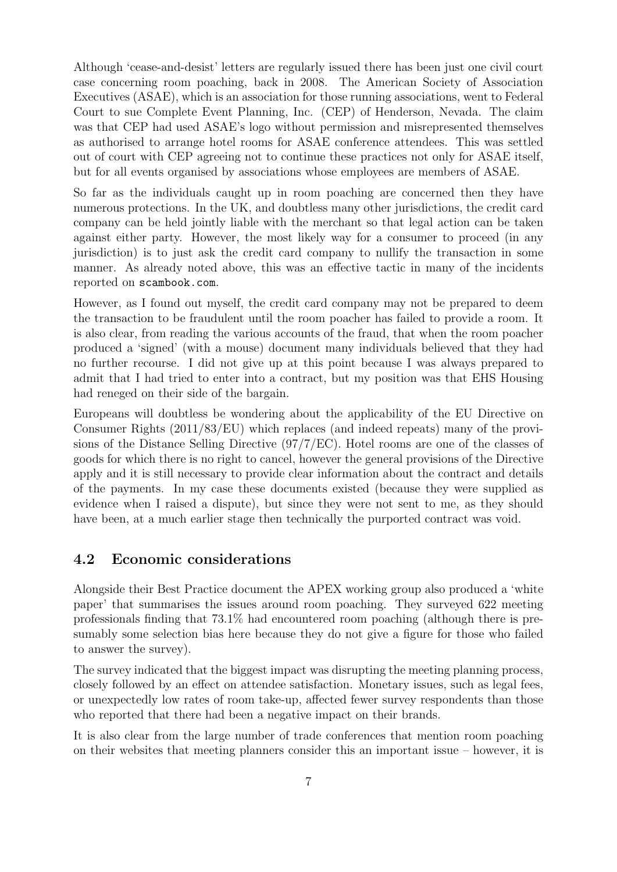Although 'cease-and-desist' letters are regularly issued there has been just one civil court case concerning room poaching, back in 2008. The American Society of Association Executives (ASAE), which is an association for those running associations, went to Federal Court to sue Complete Event Planning, Inc. (CEP) of Henderson, Nevada. The claim was that CEP had used ASAE's logo without permission and misrepresented themselves as authorised to arrange hotel rooms for ASAE conference attendees. This was settled out of court with CEP agreeing not to continue these practices not only for ASAE itself, but for all events organised by associations whose employees are members of ASAE.

So far as the individuals caught up in room poaching are concerned then they have numerous protections. In the UK, and doubtless many other jurisdictions, the credit card company can be held jointly liable with the merchant so that legal action can be taken against either party. However, the most likely way for a consumer to proceed (in any jurisdiction) is to just ask the credit card company to nullify the transaction in some manner. As already noted above, this was an effective tactic in many of the incidents reported on <scambook.com>.

However, as I found out myself, the credit card company may not be prepared to deem the transaction to be fraudulent until the room poacher has failed to provide a room. It is also clear, from reading the various accounts of the fraud, that when the room poacher produced a 'signed' (with a mouse) document many individuals believed that they had no further recourse. I did not give up at this point because I was always prepared to admit that I had tried to enter into a contract, but my position was that EHS Housing had reneged on their side of the bargain.

Europeans will doubtless be wondering about the applicability of the EU Directive on Consumer Rights (2011/83/EU) which replaces (and indeed repeats) many of the provisions of the Distance Selling Directive (97/7/EC). Hotel rooms are one of the classes of goods for which there is no right to cancel, however the general provisions of the Directive apply and it is still necessary to provide clear information about the contract and details of the payments. In my case these documents existed (because they were supplied as evidence when I raised a dispute), but since they were not sent to me, as they should have been, at a much earlier stage then technically the purported contract was void.

#### 4.2 Economic considerations

Alongside their Best Practice document the APEX working group also produced a 'white paper' that summarises the issues around room poaching. They surveyed 622 meeting professionals finding that 73.1% had encountered room poaching (although there is presumably some selection bias here because they do not give a figure for those who failed to answer the survey).

The survey indicated that the biggest impact was disrupting the meeting planning process, closely followed by an effect on attendee satisfaction. Monetary issues, such as legal fees, or unexpectedly low rates of room take-up, affected fewer survey respondents than those who reported that there had been a negative impact on their brands.

It is also clear from the large number of trade conferences that mention room poaching on their websites that meeting planners consider this an important issue – however, it is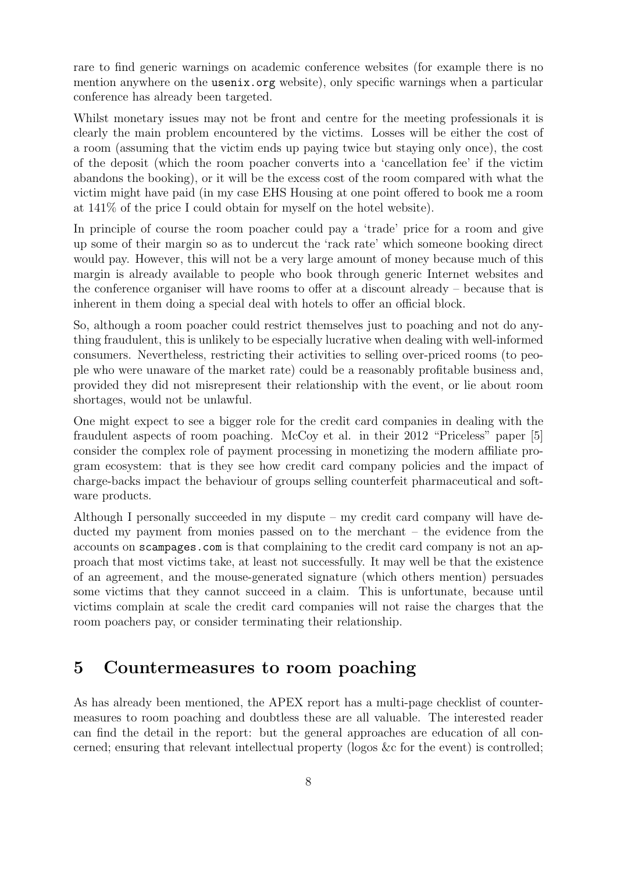rare to find generic warnings on academic conference websites (for example there is no mention anywhere on the <usenix.org> website), only specific warnings when a particular conference has already been targeted.

Whilst monetary issues may not be front and centre for the meeting professionals it is clearly the main problem encountered by the victims. Losses will be either the cost of a room (assuming that the victim ends up paying twice but staying only once), the cost of the deposit (which the room poacher converts into a 'cancellation fee' if the victim abandons the booking), or it will be the excess cost of the room compared with what the victim might have paid (in my case EHS Housing at one point offered to book me a room at 141% of the price I could obtain for myself on the hotel website).

In principle of course the room poacher could pay a 'trade' price for a room and give up some of their margin so as to undercut the 'rack rate' which someone booking direct would pay. However, this will not be a very large amount of money because much of this margin is already available to people who book through generic Internet websites and the conference organiser will have rooms to offer at a discount already – because that is inherent in them doing a special deal with hotels to offer an official block.

So, although a room poacher could restrict themselves just to poaching and not do anything fraudulent, this is unlikely to be especially lucrative when dealing with well-informed consumers. Nevertheless, restricting their activities to selling over-priced rooms (to people who were unaware of the market rate) could be a reasonably profitable business and, provided they did not misrepresent their relationship with the event, or lie about room shortages, would not be unlawful.

One might expect to see a bigger role for the credit card companies in dealing with the fraudulent aspects of room poaching. McCoy et al. in their 2012 "Priceless" paper [\[5\]](#page-10-3) consider the complex role of payment processing in monetizing the modern affiliate program ecosystem: that is they see how credit card company policies and the impact of charge-backs impact the behaviour of groups selling counterfeit pharmaceutical and software products.

Although I personally succeeded in my dispute – my credit card company will have deducted my payment from monies passed on to the merchant – the evidence from the accounts on <scampages.com> is that complaining to the credit card company is not an approach that most victims take, at least not successfully. It may well be that the existence of an agreement, and the mouse-generated signature (which others mention) persuades some victims that they cannot succeed in a claim. This is unfortunate, because until victims complain at scale the credit card companies will not raise the charges that the room poachers pay, or consider terminating their relationship.

### 5 Countermeasures to room poaching

As has already been mentioned, the APEX report has a multi-page checklist of countermeasures to room poaching and doubtless these are all valuable. The interested reader can find the detail in the report: but the general approaches are education of all concerned; ensuring that relevant intellectual property (logos &c for the event) is controlled;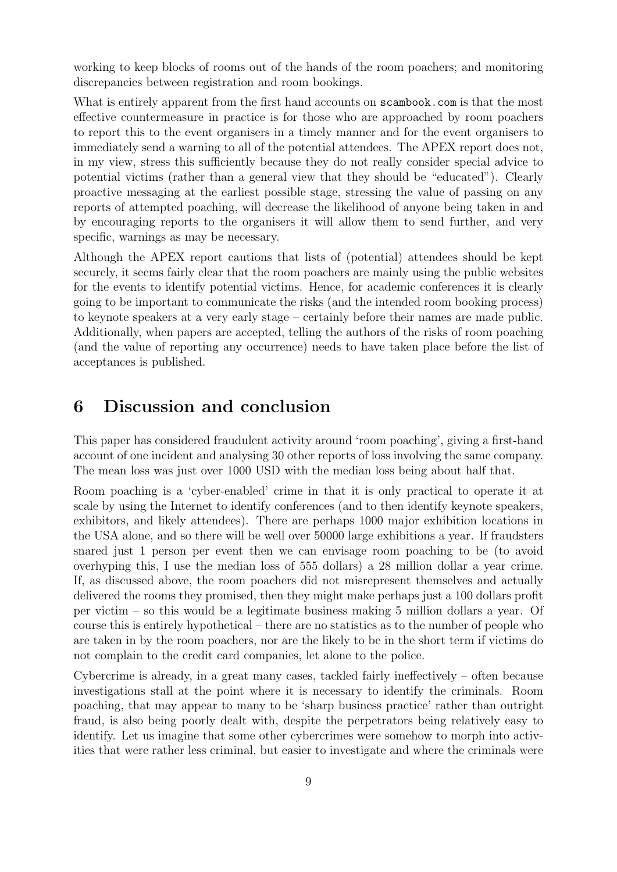working to keep blocks of rooms out of the hands of the room poachers; and monitoring discrepancies between registration and room bookings.

What is entirely apparent from the first hand accounts on <scambook.com> is that the most effective countermeasure in practice is for those who are approached by room poachers to report this to the event organisers in a timely manner and for the event organisers to immediately send a warning to all of the potential attendees. The APEX report does not, in my view, stress this sufficiently because they do not really consider special advice to potential victims (rather than a general view that they should be "educated"). Clearly proactive messaging at the earliest possible stage, stressing the value of passing on any reports of attempted poaching, will decrease the likelihood of anyone being taken in and by encouraging reports to the organisers it will allow them to send further, and very specific, warnings as may be necessary.

Although the APEX report cautions that lists of (potential) attendees should be kept securely, it seems fairly clear that the room poachers are mainly using the public websites for the events to identify potential victims. Hence, for academic conferences it is clearly going to be important to communicate the risks (and the intended room booking process) to keynote speakers at a very early stage – certainly before their names are made public. Additionally, when papers are accepted, telling the authors of the risks of room poaching (and the value of reporting any occurrence) needs to have taken place before the list of acceptances is published.

### 6 Discussion and conclusion

This paper has considered fraudulent activity around 'room poaching', giving a first-hand account of one incident and analysing 30 other reports of loss involving the same company. The mean loss was just over 1000 USD with the median loss being about half that.

Room poaching is a 'cyber-enabled' crime in that it is only practical to operate it at scale by using the Internet to identify conferences (and to then identify keynote speakers, exhibitors, and likely attendees). There are perhaps 1000 major exhibition locations in the USA alone, and so there will be well over 50000 large exhibitions a year. If fraudsters snared just 1 person per event then we can envisage room poaching to be (to avoid overhyping this, I use the median loss of 555 dollars) a 28 million dollar a year crime. If, as discussed above, the room poachers did not misrepresent themselves and actually delivered the rooms they promised, then they might make perhaps just a 100 dollars profit per victim – so this would be a legitimate business making 5 million dollars a year. Of course this is entirely hypothetical – there are no statistics as to the number of people who are taken in by the room poachers, nor are the likely to be in the short term if victims do not complain to the credit card companies, let alone to the police.

Cybercrime is already, in a great many cases, tackled fairly ineffectively – often because investigations stall at the point where it is necessary to identify the criminals. Room poaching, that may appear to many to be 'sharp business practice' rather than outright fraud, is also being poorly dealt with, despite the perpetrators being relatively easy to identify. Let us imagine that some other cybercrimes were somehow to morph into activities that were rather less criminal, but easier to investigate and where the criminals were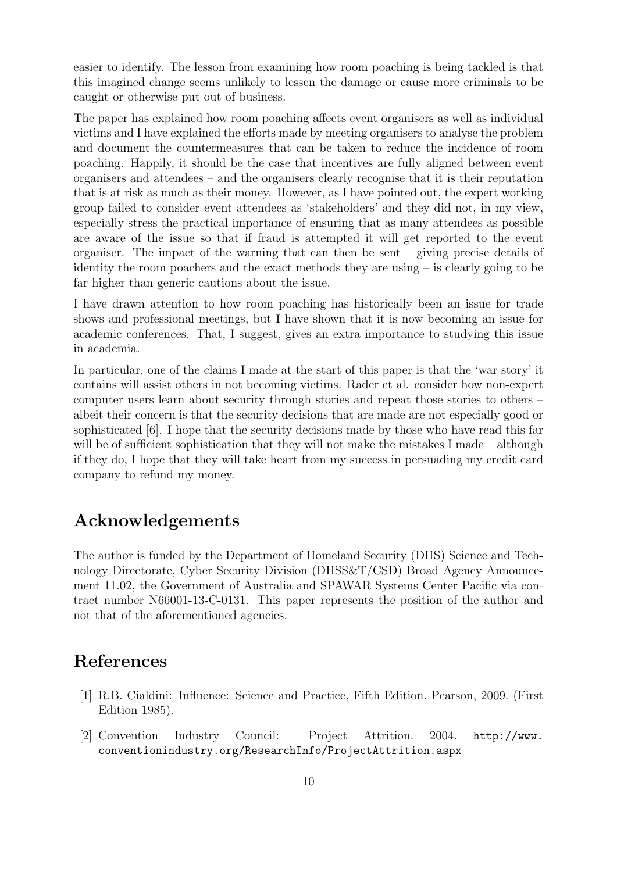easier to identify. The lesson from examining how room poaching is being tackled is that this imagined change seems unlikely to lessen the damage or cause more criminals to be caught or otherwise put out of business.

The paper has explained how room poaching affects event organisers as well as individual victims and I have explained the efforts made by meeting organisers to analyse the problem and document the countermeasures that can be taken to reduce the incidence of room poaching. Happily, it should be the case that incentives are fully aligned between event organisers and attendees – and the organisers clearly recognise that it is their reputation that is at risk as much as their money. However, as I have pointed out, the expert working group failed to consider event attendees as 'stakeholders' and they did not, in my view, especially stress the practical importance of ensuring that as many attendees as possible are aware of the issue so that if fraud is attempted it will get reported to the event organiser. The impact of the warning that can then be sent – giving precise details of identity the room poachers and the exact methods they are using – is clearly going to be far higher than generic cautions about the issue.

I have drawn attention to how room poaching has historically been an issue for trade shows and professional meetings, but I have shown that it is now becoming an issue for academic conferences. That, I suggest, gives an extra importance to studying this issue in academia.

In particular, one of the claims I made at the start of this paper is that the 'war story' it contains will assist others in not becoming victims. Rader et al. consider how non-expert computer users learn about security through stories and repeat those stories to others – albeit their concern is that the security decisions that are made are not especially good or sophisticated [\[6\]](#page-10-4). I hope that the security decisions made by those who have read this far will be of sufficient sophistication that they will not make the mistakes I made – although if they do, I hope that they will take heart from my success in persuading my credit card company to refund my money.

### Acknowledgements

The author is funded by the Department of Homeland Security (DHS) Science and Technology Directorate, Cyber Security Division (DHSS&T/CSD) Broad Agency Announcement 11.02, the Government of Australia and SPAWAR Systems Center Pacific via contract number N66001-13-C-0131. This paper represents the position of the author and not that of the aforementioned agencies.

### References

- <span id="page-9-0"></span>[1] R.B. Cialdini: Influence: Science and Practice, Fifth Edition. Pearson, 2009. (First Edition 1985).
- <span id="page-9-1"></span>[2] Convention Industry Council: Project Attrition. 2004. [http://www.](http://www.conventionindustry.org/ResearchInfo/ProjectAttrition.aspx) [conventionindustry.org/ResearchInfo/ProjectAttrition.aspx](http://www.conventionindustry.org/ResearchInfo/ProjectAttrition.aspx)